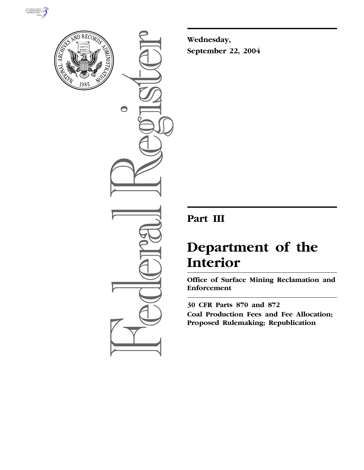



 $\bigcirc$ 

**Wednesday, September 22, 2004**

## **Part III**

# **Department of the Interior**

**Office of Surface Mining Reclamation and Enforcement** 

**30 CFR Parts 870 and 872 Coal Production Fees and Fee Allocation; Proposed Rulemaking; Republication**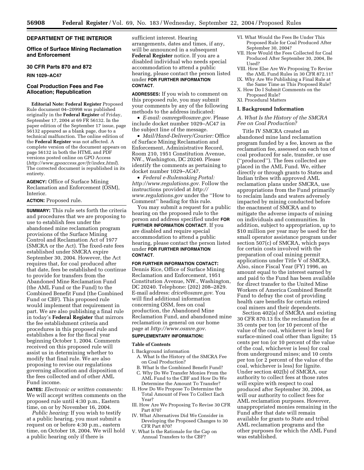## **DEPARTMENT OF THE INTERIOR**

## **Office of Surface Mining Reclamation and Enforcement**

#### **30 CFR Parts 870 and 872**

**RIN 1029–AC47**

## **Coal Production Fees and Fee Allocation; Republication**

**Editorial Note: Federal Register** Proposed Rule document 04–20998 was published originally in the **Federal Register** of Friday, September 17, 2004 at 69 FR 56132. In the paper edition of the September 17 issue, page 56132 appeared as a blank page, due to a technical malfunction. The online edition of the **Federal Register** was not affected. A complete version of the document appears on page 56132 in both the HTML and PDF versions posted online on GPO Access (*http://www.gpoaccess.gov/fr/index.html*). The corrected document is republished in its entirety.

**AGENCY:** Office of Surface Mining Reclamation and Enforcement (OSM), Interior.

**ACTION:** Proposed rule.

**SUMMARY:** This rule sets forth the criteria and procedures that we are proposing to use to establish fees under the abandoned mine reclamation program provisions of the Surface Mining Control and Reclamation Act of 1977 (SMCRA or the Act). The fixed-rate fees established under SMCRA expire September 30, 2004. However, the Act requires that, for coal produced after that date, fees be established to continue to provide for transfers from the Abandoned Mine Reclamation Fund (the AML Fund or the Fund) to the Combined Benefit Fund (the Combined Fund or CBF). This proposed rule would implement that requirement in part. We are also publishing a final rule in today's **Federal Register** that mirrors the fee establishment criteria and procedures in this proposed rule and establishes a fee for the fiscal year beginning October 1, 2004. Comments received on this proposed rule will assist us in determining whether to modify that final rule. We are also proposing to revise our regulations governing allocation and disposition of the fees collected and of other AML Fund income.

**DATES:** *Electronic or written comments:* We will accept written comments on the proposed rule until 4:30 p.m., Eastern time, on or by November 16, 2004.

*Public hearing:* If you wish to testify at a public hearing, you must submit a request on or before 4:30 p.m., eastern time, on October 18, 2004. We will hold a public hearing only if there is

sufficient interest. Hearing arrangements, dates and times, if any, will be announced in a subsequent **Federal Register** notice. If you are a disabled individual who needs special accommodation to attend a public hearing, please contact the person listed under **FOR FURTHER INFORMATION CONTACT**.

**ADDRESSES:** If you wish to comment on this proposed rule, you may submit your comments by any of the following methods to the address indicated:

• *E-mail: osmregs@osmre.gov.* Please include docket number 1029–AC47 in the subject line of the message.

• *Mail/Hand-Delivery/Courier:* Office of Surface Mining Reclamation and Enforcement, Administrative Record, Room 210, 1951 Constitution Avenue, NW., Washington, DC 20240. Please identify the comments as pertaining to docket number 1029–AC47.

• *Federal e-Rulemaking Portal: http://www.regulations.gov.* Follow the instructions provided at *http:// www.regulations.gov* under the ''How to Comment'' heading for this rule.

You may submit a request for a public hearing on the proposed rule to the person and address specified under **FOR FURTHER INFORMATION CONTACT**. If you are disabled and require special accommodation to attend a public hearing, please contact the person listed under **FOR FURTHER INFORMATION CONTACT**.

#### **FOR FURTHER INFORMATION CONTACT:**

Dennis Rice, Office of Surface Mining Reclamation and Enforcement, 1951 Constitution Avenue, NW., Washington, DC 20240. Telephone: (202) 208–2829. E-mail address: *drice@osmre.gov*. You will find additional information concerning OSM, fees on coal production, the Abandoned Mine Reclamation Fund, and abandoned mine reclamation in general on our home page at *http://www.osmre.gov*.

#### **SUPPLEMENTARY INFORMATION:**

#### **Table of Contents**

I. Background information

- A. What Is the History of the SMCRA Fee on Coal Production?
- B. What Is the Combined Benefit Fund? C. Why Do We Transfer Monies From the
- AML Fund to the CBF and How Do We Determine the Amount To Transfer? II. How Do We Propose To Determine the
- Total Amount of Fees To Collect Each Year?
- III. How Are We Proposing To Revise 30 CFR Part 870?
- IV. What Alternatives Did We Consider in Developing the Proposed Changes to 30 CFR Part 870?
- V. What Is the Rationale for the Cap on Annual Transfers to the CBF?
- VI. What Would the Fees Be Under This Proposed Rule for Coal Produced After September 30, 2004?
- VII. How Would the Fees Collected for Coal Produced After September 30, 2004, Be Used?
- VIII. How Else Are We Proposing To Revise the AML Fund Rules in 30 CFR 872.11?
- IX. Why Are We Publishing a Final Rule at the Same Time as This Proposed Rule? X. How Do I Submit Comments on the
- Proposed Rule? XI. Procedural Matters

## **I. Background Information**

## *A. What Is the History of the SMCRA Fee on Coal Production?*

Title IV SMCRA created an abandoned mine land reclamation program funded by a fee, known as the reclamation fee, assessed on each ton of coal produced for sale, transfer, or use (''produced''). The fees collected are placed in the AML Fund. We, either directly or through grants to States and Indian tribes with approved AML reclamation plans under SMCRA, use appropriations from the Fund primarily to reclaim lands and waters adversely impacted by mining conducted before the enactment of SMCRA and to mitigate the adverse impacts of mining on individuals and communities. In addition, subject to appropriation, up to \$10 million per year may be used for the small operator assistance program under section 507(c) of SMCRA, which pays for certain costs involved with the preparation of coal mining permit applications under Title  $\check{V}$  of SMCRA. Also, since Fiscal Year (FY) 1996, an amount equal to the interest earned by and paid to the Fund has been available for direct transfer to the United Mine Workers of America Combined Benefit Fund to defray the cost of providing health care benefits for certain retired coal miners and their dependents.

Section 402(a) of SMCRA and existing 30 CFR 870.13 fix the reclamation fee at 35 cents per ton (or 10 percent of the value of the coal, whichever is less) for surface-mined coal other than lignite; 15 cents per ton (or 10 percent of the value of the coal, whichever is less) for coal from underground mines; and 10 cents per ton (or 2 percent of the value of the coal, whichever is less) for lignite. Under section 402(b) of SMCRA, our authority to collect fees at those rates will expire with respect to coal produced after September 30, 2004, as will our authority to collect fees for AML reclamation purposes. However, unappropriated monies remaining in the Fund after that date will remain available for grants to State and tribal AML reclamation programs and the other purposes for which the AML Fund was established.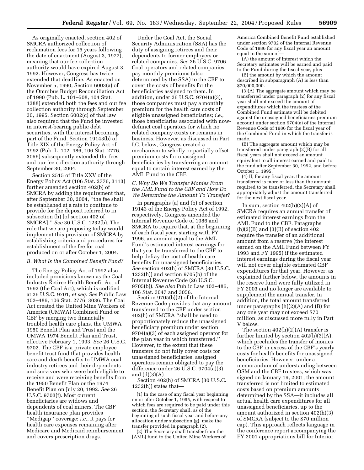As originally enacted, section 402 of SMCRA authorized collection of reclamation fees for 15 years following the date of enactment (August 3, 1977), meaning that our fee collection authority would have expired August 3, 1992. However, Congress has twice extended that deadline. As enacted on November 5, 1990, Section 6003(a) of the Omnibus Budget Reconciliation Act of 1990 (Pub. L. 101–508, 104 Stat. 1388) extended both the fees and our fee collection authority through September 30, 1995. Section 6002(c) of that law also required that the Fund be invested in interest-bearing public debt securities, with the interest becoming part of the Fund. Section 19143(b) of Title XIX of the Energy Policy Act of 1992 (Pub. L. 102–486, 106 Stat. 2776, 3056) subsequently extended the fees and our fee collection authority through September 30, 2004.

Section 2515 of Title XXV of the Energy Policy Act (106 Stat. 2776, 3113) further amended section 402(b) of SMCRA by adding the requirement that, after September 30, 2004, ''the fee shall be established at a rate to continue to provide for the deposit referred to in subsection (h) [of section 402 of SMCRA].'' *See* 30 U.S.C. 1232(b). The rule that we are proposing today would implement this provision of SMCRA by establishing criteria and procedures for establishment of the fee for coal produced on or after October 1, 2004.

#### *B. What Is the Combined Benefit Fund?*

The Energy Policy Act of 1992 also included provisions known as the Coal Industry Retiree Health Benefit Act of 1992 (the Coal Act), which is codified at 26 U.S.C. 9701, *et seq. See* Public Law 102–486, 106 Stat. 2776, 3036. The Coal Act created the United Mine Workers of America (UMWA) Combined Fund or CBF by merging two financially troubled health care plans, the UMWA 1950 Benefit Plan and Trust and the UMWA 1974 Benefit Plan and Trust, effective February 1, 1993. *See* 26 U.S.C. 9702. The CBF is a private employee benefit trust fund that provides health care and death benefits to UMWA coal industry retirees and their dependents and survivors who were both eligible to receive and were receiving benefits from the 1950 Benefit Plan or the 1974 Benefit Plan on July 20, 1992. *See* 26 U.S.C. 9703(f). Most current beneficiaries are widows and dependents of coal miners. The CBF health insurance plan provides ''Medigap'' coverage; *i.e.*, it pays for health care expenses remaining after Medicare and Medicaid reimbursement and covers prescription drugs.

Under the Coal Act, the Social Security Administration (SSA) has the duty of assigning retirees and their dependents to former employers or related companies. *See* 26 U.S.C. 9706. Coal operators and related companies pay monthly premiums (also determined by the SSA) to the CBF to cover the costs of benefits for the beneficiaries assigned to them. In addition, under 26 U.S.C. 9704(a)(3), those companies must pay a monthly premium for the health care costs of eligible unassigned beneficiaries; *i.e.*, those beneficiaries associated with nowdefunct coal operators for which no related company exists or remains in business. However, as discussed in Part I.C. below, Congress created a mechanism to wholly or partially offset premium costs for unassigned beneficiaries by transferring an amount equal to certain interest earned by the AML Fund to the CBF.

## *C. Why Do We Transfer Monies From the AML Fund to the CBF and How Do We Determine the Amount To Transfer?*

In paragraphs (a) and (b) of section 19143 of the Energy Policy Act of 1992, respectively, Congress amended the Internal Revenue Code of 1986 and SMCRA to require that, at the beginning of each fiscal year, starting with FY 1996, an amount equal to the AML Fund's estimated interest earnings for that year be transferred to the CBF to help defray the cost of health care benefits for unassigned beneficiaries. *See* section 402(h) of SMCRA (30 U.S.C. 1232(h)) and section 9705(b) of the Internal Revenue Code (26 U.S.C. 9705(b)). *See also* Public Law 102–486, 106 Stat. 3047 and 3056.

Section 9705(b)(2) of the Internal Revenue Code provides that any amount transferred to the CBF under section 402(h) of SMCRA ''shall be used to proportionately reduce the unassigned beneficiary premium under section 9704(a)(3) of each assigned operator for the plan year in which transferred.'' However, to the extent that these transfers do not fully cover costs for unassigned beneficiaries, assigned operators remain obligated to pay the difference under 26 U.S.C. 9704(a)(3) and  $(d)(3)(A)$ .

Section 402(h) of SMCRA (30 U.S.C.  $1232(h)$ ) states that—

(1) In the case of any fiscal year beginning on or after October 1, 1995, with respect to which fees are required to be paid under this section, the Secretary shall, as of the beginning of such fiscal year and before any allocation under subsection (g), make the transfer provided in paragraph (2).

(2) The Secretary shall transfer from the [AML] fund to the United Mine Workers of

America Combined Benefit Fund established under section 9702 of the Internal Revenue Code of 1986 for any fiscal year an amount equal to the sum of—

(A) the amount of interest which the Secretary estimates will be earned and paid to the Fund during the fiscal year, plus

(B) the amount by which the amount described in subparagraph (A) is less than \$70,000,000.

(3)(A) The aggregate amount which may be transferred under paragraph (2) for any fiscal year shall not exceed the amount of expenditures which the trustees of the Combined Fund estimate will be debited against the unassigned beneficiaries premium account under section 9704(e) of the Internal Revenue Code of 1986 for the fiscal year of the Combined Fund in which the transfer is made.

(B) The aggregate amount which may be transferred under paragraph (2)(B) for all fiscal years shall not exceed an amount equivalent to all interest earned and paid to the fund after September 30, 1992, and before October 1, 1995.

(4) If, for any fiscal year, the amount transferred is more or less than the amount required to be transferred, the Secretary shall appropriately adjust the amount transferred for the next fiscal year.

In sum, section  $402(h)(2)(A)$  of SMCRA requires an annual transfer of estimated interest earnings from the AML Fund to the CBF. Paragraphs  $(h)(2)(B)$  and  $(3)(B)$  of section 402 require the transfer of an additional amount from a reserve (the interest earned on the AML Fund between FY 1993 and FY 1995) if the estimated interest earnings during the fiscal year will not cover eligible estimated CBF expenditures for that year. However, as explained further below, the amounts in the reserve fund were fully utilized in FY 2003 and no longer are available to supplement the annual transfer. In addition, the total amount transferred under paragraphs (h)(2)(A) and (B) for any one year may not exceed \$70 million, as discussed more fully in Part V below.

The section  $402(h)(2)(A)$  transfer is further limited by section 402(h)(3)(A), which precludes the transfer of monies to the CBF in excess of the CBF's yearly costs for health benefits for unassigned beneficiaries. However, under a memorandum of understanding between OSM and the CBF trustees, which was signed on January 19, 2001, the amount transferred is not limited to estimated costs based on premium amounts determined by the SSA—it includes all actual health care expenditures for all unassigned beneficiaries, up to the amount authorized in section 402(h)(3) of SMCRA (subject to the \$70 million cap). This approach reflects language in the conference report accompanying the FY 2001 appropriations bill for Interior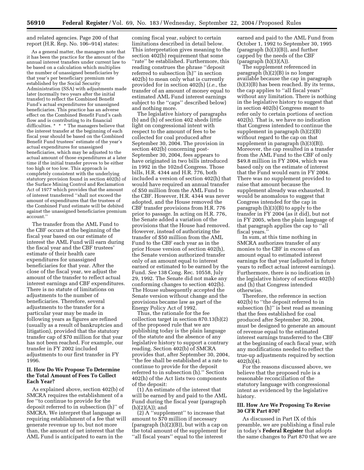and related agencies. Page 200 of that report (H.R. Rep. No. 106–914) states:

As a general matter, the managers note that it has been the practice for the amount of the annual interest transfers under current law to be based on a calculation which multiplies the number of unassigned beneficiaries by that year's per beneficiary premium rate established by the Social Security Administration (SSA) with adjustments made later (normally two years after the initial transfer) to reflect the Combined Benefit Fund's actual expenditures for unassigned beneficiaries. This practice has an adverse effect on the Combined Benefit Fund's cash flow and is contributing to its financial difficulties. \* \* \* The managers believe that the interest transfer at the beginning of each fiscal year should be based on the Combined Benefit Fund trustees' estimate of the year's actual expenditures for unassigned beneficiaries, which may be adjusted to the actual amount of those expenditures at a later time if the initial transfer proves to be either too high or too low. This approach is completely consistent with the underlying statutory provision found in section 402(h) of the Surface Mining Control and Reclamation Act of 1977 which provides that the amount of interest transferred ''shall not exceed the amount of expenditures that the trustees of the Combined Fund estimate will be debited against the unassigned beneficiaries premium account.''

The transfer from the AML Fund to the CBF occurs at the beginning of the fiscal year based on our estimate of interest the AML Fund will earn during the fiscal year and the CBF trustees' estimate of their health care expenditures for unassigned beneficiaries for that year. After the close of the fiscal year, we adjust the amount of the transfer to reflect actual interest earnings and CBF expenditures. There is no statute of limitations on adjustments to the number of beneficiaries. Therefore, several adjustments to the transfer for a particular year may be made in following years as figures are refined (usually as a result of bankruptcies and litigation), provided that the statutory transfer cap of \$70 million for that year has not been reached. For example, our transfer in FY 2002 included adjustments to our first transfer in FY 1996.

## **II. How Do We Propose To Determine the Total Amount of Fees To Collect Each Year?**

As explained above, section 402(b) of SMCRA requires the establishment of a fee ''to continue to provide for the deposit referred to in subsection (h)'' of SMCRA. We interpret that language as requiring establishment of a fee that will generate revenue up to, but not more than, the amount of net interest that the AML Fund is anticipated to earn in the

coming fiscal year, subject to certain limitations described in detail below. This interpretation gives meaning to the section 402(b) requirement that some ''rate'' be established. Furthermore, this reading construes the phrase ''deposit referred to subsection (h)'' in section 402(b) to mean only what is currently provided for in section 402(h) (*i.e.*, the transfer of an amount of money equal to estimated AML Fund interest earnings subject to the ''caps'' described below) and nothing more.

The legislative history of paragraphs (b) and (h) of section 402 sheds little light on congressional intent with respect to the amount of fees to be collected for coal produced after September 30, 2004. The provision in section 402(b) concerning post-September 30, 2004, fees appears to have originated in two bills introduced in 1992 in the 102nd Congress. Those bills, H.R. 4344 and H.R. 776, both included a version of section 402(h) that would have required an annual transfer of \$50 million from the AML Fund to the CBF. However, H.R. 4344 was never adopted, and the House removed the CBF transfer provisions from H.R. 776 prior to passage. In acting on H.R. 776, the Senate added a variation of the provisions that the House had removed. However, instead of authorizing the transfer of \$50 million from the AML Fund to the CBF each year as in the prior House version of section 402(h), the Senate version authorized transfer only of an amount equal to interest earned or estimated to be earned by the Fund. *See* 138 Cong. Rec. 10558, July 29, 1992. The Senate did not make any conforming changes to section 402(b). The House subsequently accepted the Senate version without change and the provisions became law as part of the Energy Policy Act of 1992.

Thus, the rationale for the fee collection target in section 870.13(b)(2) of the proposed rule that we are publishing today is the plain language of the statute and the absence of any legislative history to support a contrary reading. Section 402(b) of SMCRA provides that, after September 30, 2004, ''the fee shall be established at a rate to continue to provide for the deposit referred to in subsection (h).'' Section 402(h) of the Act lists two components of the deposit:

(1) An estimate of the interest that will be earned by and paid to the AML Fund during the fiscal year (paragraph  $(h)(2)(A)$ ; and

(2) A ''supplement'' to increase that amount to \$70 million if necessary (paragraph (h)(2)(B)), but with a cap on the total amount of the supplement for ''all fiscal years'' equal to the interest

earned and paid to the AML Fund from October 1, 1992 to September 30, 1995 (paragraph (h)(3)(B)), and further capped by the needs of the CBF  $($ paragraph  $(h)(3)(A)).$ 

The supplement referenced in paragraph (h)(2)(B) is no longer available because the cap in paragraph (h)(3)(B) has been reached. By its terms, the cap applies to ''all fiscal years'' without any limitation. There is nothing in the legislative history to suggest that in section 402(b) Congress meant to refer only to certain portions of section 402(h). That is, we have no indication that Congress intended to continue the supplement in paragraph (h)(2)(B) without regard to the cap on that supplement in paragraph (h)(3)(B)). Moreover, the cap resulted in a transfer from the AML Fund to the CBF of only \$49.8 million in FY 2004, which was based only on the estimate of interest that the Fund would earn in FY 2004. There was no supplement provided to raise that amount because the supplement already was exhausted. It would be anomalous to suggest that Congress intended for the cap in paragraph (h)(3)(B) to apply to the transfer in FY 2004 (as it did), but not in FY 2005, when the plain language of that paragraph applies the cap to ''all fiscal years.''

In sum, at this time nothing in SMCRA authorizes transfer of any monies to the CBF in excess of an amount equal to estimated interest earnings for that year (adjusted in future years to reflect actual interest earnings). Furthermore, there is no indication in the legislative history of sections 402(b) and (h) that Congress intended otherwise.

Therefore, the reference in section 402(b) to ''the deposit referred to in subsection (h)'' is best read as meaning that the fees established for coal produced after September 30, 2004, must be designed to generate an amount of revenue equal to the estimated interest earnings transferred to the CBF at the beginning of each fiscal year, with any modifications needed to reflect the true-up adjustments required by section  $402(h)(4)$ .

For the reasons discussed above, we believe that the proposed rule is a reasonable reconciliation of the statutory language with congressional intent as evidenced by the legislative history.

## **III. How Are We Proposing To Revise 30 CFR Part 870?**

As discussed in Part IX of this preamble, we are publishing a final rule in today's **Federal Register** that adopts the same changes to Part 870 that we are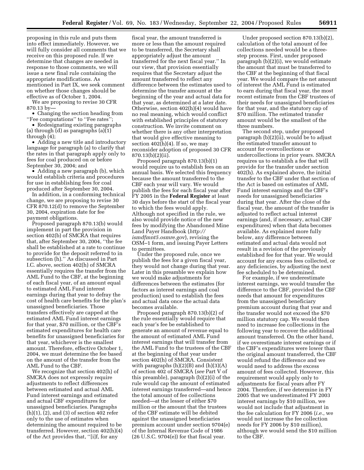proposing in this rule and puts them into effect immediately. However, we will fully consider all comments that we receive on this proposed rule. If we determine that changes are needed in response to those comments, we will issue a new final rule containing the appropriate modifications. As mentioned in Part IX, we seek comment on whether those changes should be effective as of October 1, 2004.

We are proposing to revise 30 CFR 870.13 by—

• Changing the section heading from ''Fee computations'' to ''Fee rates'';

• Redesignating existing paragraphs (a) through (d) as paragraphs (a)(1) through (4);

• Adding a new title and introductory language for paragraph (a) to clarify that the rates in that paragraph apply only to fees for coal produced on or before September 30, 2004; and

• Adding a new paragraph (b), which would establish criteria and procedures for use in establishing fees for coal produced after September 30, 2004.

In addition, in a conforming technical change, we are proposing to revise 30 CFR 870.12(d) to remove the September 30, 2004, expiration date for fee payment obligations.

Proposed paragraph 870.13(b) would implement in part the provision in section 402(b) of SMCRA that requires that, after September 30, 2004, ''the fee shall be established at a rate to continue to provide for the deposit referred to in subsection (h).'' As discussed in Part I.C. above, section 402(h) of SMCRA essentially requires the transfer from the AML Fund to the CBF, at the beginning of each fiscal year, of an amount equal to estimated AML Fund interest earnings during that year to defray the cost of health care benefits for the plan's unassigned beneficiaries. Those transfers effectively are capped at the estimated AML Fund interest earnings for that year, \$70 million, or the CBF's estimated expenditures for health care benefits for unassigned beneficiaries for that year, whichever is the smallest amount. Therefore, effective October 1, 2004, we must determine the fee based on the amount of the transfer from the AML Fund to the CBF.

We recognize that section 402(h) of SMCRA does not expressly require adjustments to reflect differences between estimated and actual AML Fund interest earnings and estimated and actual CBF expenditures for unassigned beneficiaries. Paragraphs (h)(1), (2), and (3) of section 402 refer only to the use of estimates when determining the amount required to be transferred. However, section 402(h)(4) of the Act provides that, ''[i]f, for any

fiscal year, the amount transferred is more or less than the amount required to be transferred, the Secretary shall appropriately adjust the amount transferred for the next fiscal year.'' In our view, that provision essentially requires that the Secretary adjust the amount transferred to reflect any difference between the estimates used to determine the transfer amount at the beginning of the year and actual data for that year, as determined at a later date. Otherwise, section 402(h)(4) would have no real meaning, which would conflict with established principles of statutory construction. We invite comment on whether there is any other interpretation that would give effective meaning to section  $402(h)(4)$ . If so, we may reconsider adoption of proposed 30 CFR 870.13(b)(2)(ii).

Proposed paragraph 870.13(b)(1) would require us to establish fees on an annual basis. We selected this frequency because the amount transferred to the CBF each year will vary. We would publish the fees for each fiscal year after FY 2005 in the **Federal Register** at least 30 days before the start of the fiscal year to which the fees would apply. Although not specified in the rule, we also would provide notice of the new fees by modifying the Abandoned Mine Land Payer Handbook (*http:// ismdfmnt5.osmre.gov*), revising the OSM–1 form, and issuing Payer Letters to permittees.

Under the proposed rule, once we publish the fees for a given fiscal year, they would not change during that year. Later in this preamble we explain how we would make adjustments for differences between the estimates (for factors as interest earnings and coal production) used to establish the fees and actual data once the actual data becomes available.

Proposed paragraph 870.13(b)(2) of the rule essentially would require that each year's fee be established to generate an amount of revenue equal to the amount of estimated AML Fund interest earnings that will transfer from the AML Fund to the trustees of the CBF at the beginning of that year under section 402(h) of SMCRA. Consistent with paragraphs (h)(2)(B) and (h)(3)(A) of section 402 of SMCRA (*see* Part V of this preamble), paragraph (b)(2)(i) of the rule would cap the amount of estimated interest earnings transferred—and hence the total amount of fee collections needed—at the lesser of either \$70 million or the amount that the trustees of the CBF estimate will be debited against the unassigned beneficiaries premium account under section 9704(e) of the Internal Revenue Code of 1986  $(26 \text{ U.S.C. } 9704(e))$  for that fiscal year.

Under proposed section 870.13(b)(2), calculation of the total amount of fee collections needed would be a threestep process. First, under proposed paragraph (b)(2)(i), we would estimate the amount that must be transferred to the CBF at the beginning of that fiscal year. We would compare the net amount of interest the AML Fund is estimated to earn during that fiscal year, the most recent estimate from the CBF trustees of their needs for unassigned beneficiaries for that year, and the statutory cap of \$70 million. The estimated transfer amount would be the smallest of the three numbers.

The second step, under proposed paragraph (b)(2)(ii), would be to adjust the estimated transfer amount to account for overcollections or undercollections in prior years. SMCRA requires us to establish a fee that will provide for the transfer under section 402(h). As explained above, the initial transfer to the CBF under that section of the Act is based on estimates of AML Fund interest earnings and the CBF's needs for unassigned beneficiaries during that year. After the close of the fiscal year, the amount of the transfer is adjusted to reflect actual interest earnings (and, if necessary, actual CBF expenditures) when that data becomes available. As explained more fully below, any difference between estimated and actual data would not result in a revision of the previously established fee for that year. We would account for any excess fees collected, or any deficiencies, by adjusting the next fee scheduled to be determined.

For example, if we underestimate interest earnings, we would transfer the difference to the CBF, provided the CBF needs that amount for expenditures from the unassigned beneficiary premium account during that year and the transfer would not exceed the \$70 million statutory cap. We would then need to increase fee collections in the following year to recover the additional amount transferred. On the other hand, if we overestimate interest earnings or if the CBF's expenditures were lower than the original amount transferred, the CBF would refund the difference and we would need to address the excess amount of fees collected. However, this requirement would apply only to adjustments for fiscal years after FY 2004. Therefore, if we determine in FY 2005 that we underestimated FY 2003 interest earnings by \$10 million, we would not include that adjustment in the fee calculation for FY 2006 (*i.e.*, we would not increase the fee collection needs for FY 2006 by \$10 million), although we would send the \$10 million to the CBF.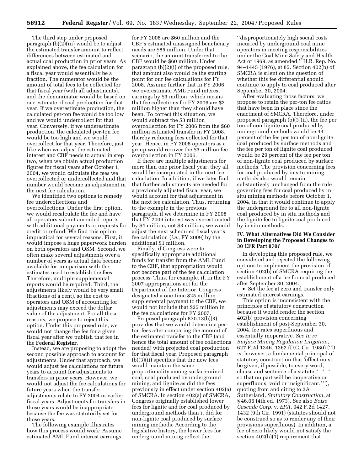The third step under proposed paragraph (b)(2)(iii) would be to adjust the estimated transfer amount to reflect differences between estimated and actual coal production in prior years. As explained above, the fee calculation for a fiscal year would essentially be a fraction. The numerator would be the amount of total fees to be collected for that fiscal year (with all adjustments), and the denominator would be based on our estimate of coal production for that year. If we overestimate production, the calculated per-ton fee would be too low and we would undercollect for that year. Conversely, if we underestimate production, the calculated per-ton fee would be too high and we would overcollect for that year. Therefore, just like when we adjust the estimated interest and CBF needs to actual in step two, when we obtain actual production figures for fiscal years after October 1, 2004, we would calculate the fees we overcollected or undercollected and that number would become an adjustment in the next fee calculation.

We identified two options to remedy fee undercollections and overcollections. Under the first option, we would recalculate the fee and have all operators submit amended reports with additional payments or requests for credit or refund. We find this option impractical for several reasons. First, it would impose a huge paperwork burden on both operators and OSM. Second, we often make several adjustments over a number of years as actual data become available for comparison with the estimates used to establish the fees. Therefore, multiple supplemental reports would be required. Third, the adjustments likely would be very small (fractions of a cent), so the cost to operators and OSM of accounting for adjustments may exceed the dollar value of the adjustment. For all these reasons, we propose to reject this option. Under this proposed rule, we would not change the fee for a given fiscal year after we publish that fee in the **Federal Register**.

Instead, we are proposing to adopt the second possible approach to account for adjustments. Under that approach, we would adjust fee calculations for future years to account for adjustments to transfers in prior years. However, we would not adjust the fee calculations for future years when the transfer adjustments relate to FY 2004 or earlier fiscal years. Adjustments for transfers in those years would be inappropriate because the fee was statutorily set for those years.

The following example illustrates how this process would work: Assume estimated AML Fund interest earnings

for FY 2008 are \$60 million and the CBF's estimated unassigned beneficiary needs are \$85 million. Under that scenario, the amount transferred to the CBF would be \$60 million. Under paragraph (b)(2)(i) of the proposed rule, that amount also would be the starting point for our fee calculations for FY 2008. Assume further that in FY 2006 we overestimate AML Fund interest earnings by \$3 million, which means that fee collections for FY 2006 are \$3 million higher than they should have been. To correct this situation, we would subtract the \$3 million overcollection for FY 2006 from the \$60 million estimated transfer in FY 2008, thereby reducing fees collected for that year. Hence, in FY 2008 operators as a group would recover the \$3 million fee overcollection in FY 2006.

If there are multiple adjustments for more than one prior fiscal year, they all would be incorporated in the next fee calculation. In addition, if we later find that further adjustments are needed for a previously adjusted fiscal year, we would account for that adjustment in the next fee calculation. Thus, returning to the example in the previous paragraph, if we determine in FY 2008 that FY 2006 interest was overestimated by \$4 million, not \$3 million, we would adjust the next scheduled fiscal year's fee calculation (*i.e.*, FY 2009) by the additional \$1 million.

Finally, if Congress were to specifically appropriate additional funds for transfer from the AML Fund to the CBF, that appropriation would not become part of the fee calculation process. Thus, for example, if, in the FY 2007 appropriations act for the Department of the Interior, Congress designated a one-time \$25 million supplemental payment to the CBF, we would not include that \$25 million in the fee calculations for FY 2007.

Proposed paragraph 870.13(b)(3) provides that we would determine perton fees after comparing the amount of the estimated transfer to the CBF (and hence the total amount of fee collections needed) with projected coal production for that fiscal year. Proposed paragraph (b)(3)(ii) specifies that the new fees would maintain the same proportionality among surface-mined coal, coal produced by underground mining, and lignite as did the fees previously in effect under section 402(a) of SMCRA. In section 402(a) of SMCRA, Congress originally established lower fees for lignite and for coal produced by underground methods than it did for non-lignite coal produced by surface mining methods. According to the legislative history, the lower fees for underground mining reflect the

''disproportionately high social costs incurred by underground coal mine operators in meeting responsibilities under the Coal Mine Safety and Health Act of 1969, as amended.'' H.R. Rep. No. 94–1445 (1976), at 85. Section 402(b) of SMCRA is silent on the question of whether this fee differential should continue to apply to coal produced after September 30, 2004.

After evaluating those factors, we propose to retain the per-ton fee ratios that have been in place since the enactment of SMCRA. Therefore, under proposed paragraph (b)(3)(ii), the fee per ton of non-lignite coal produced by underground methods would be 43 percent of the fee per ton of non-lignite coal produced by surface methods and the fee per ton of lignite coal produced would be 29 percent of the fee per ton of non-lignite coal produced by surface methods. The provision concerning fees for coal produced by in situ mining methods also would remain substantively unchanged from the rule governing fees for coal produced by in situ mining methods before October 1, 2004, in that it would continue to apply the underground fee to all non-lignite coal produced by in situ methods and the lignite fee to lignite coal produced by in situ methods.

## **IV. What Alternatives Did We Consider in Developing the Proposed Changes to 30 CFR Part 870?**

In developing this proposed rule, we considered and rejected the following options to implement the provision of section 402(b) of SMCRA requiring the establishment of a fee for coal produced after September 30, 2004:

• Set the fee at zero and transfer only estimated interest earnings.

This option is inconsistent with the principles of statutory construction because it would render the section 402(b) provision concerning establishment of post-September 30, 2004, fee rates superfluous and essentially inoperative. *See In re Surface Mining Regulation Litigation,* 627 F.2d 1346, 1362 (D.C. Cir. 1980) (''It is, however, a fundamental principal of statutory construction that 'effect must be given, if possible, to every word, clause and sentence of a statute \* \* \* so that no part will be inoperative or superfluous, void or insignificant.' ''), quoting from and citing to 2A Sutherland, *Statutory Construction*, at § 46.06 (4th ed. 1973). See also *Boise Cascade Corp.* v. *EPA*, 942 F.2d 1427, 1432 (9th Cir. 1991) (statutes should not be construed so as to render any of their provisions superfluous). In addition, a fee of zero likely would not satisfy the section 402(h)(1) requirement that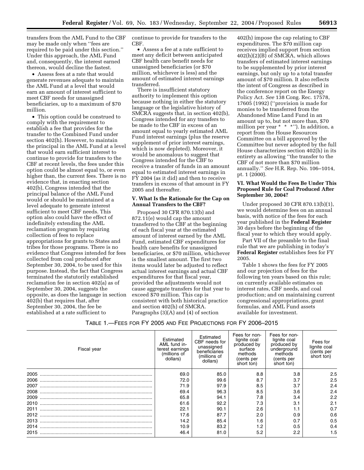transfers from the AML Fund to the CBF may be made only when ''fees are required to be paid under this section.'' Under this approach, the AML Fund and, consequently, the interest earned thereon, would decline the fastest.

• Assess fees at a rate that would generate revenues adequate to maintain the AML Fund at a level that would earn an amount of interest sufficient to meet CBF needs for unassigned beneficiaries, up to a maximum of \$70 million.

• This option could be construed to comply with the requirement to establish a fee that provides for the transfer to the Combined Fund under section 402(h). However, to maintain the principal in the AML Fund at a level that would earn sufficient interest to continue to provide for transfers to the CBF at recent levels, the fees under this option could be almost equal to, or even higher than, the current fees. There is no evidence that, in enacting section 402(b), Congress intended that the principal balance of the AML Fund would or should be maintained at a level adequate to generate interest sufficient to meet CBF needs. This option also could have the effect of indefinitely extending the AML reclamation program by requiring collection of fees to replace appropriations for grants to States and tribes for those programs. There is no evidence that Congress intended for fees collected from coal produced after September 30, 2004, to be used for this purpose. Instead, the fact that Congress terminated the statutorily established reclamation fee in section 402(a) as of September 30, 2004, suggests the opposite, as does the language in section 402(b) that requires that, after September 30, 2004, the fee be established at a rate sufficient to

continue to provide for transfers to the CBF.

• Assess a fee at a rate sufficient to meet any deficit between anticipated CBF health care benefit needs for unassigned beneficiaries (or \$70 million, whichever is less) and the amount of estimated interest earnings transferred.

There is insufficient statutory authority to implement this option because nothing in either the statutory language or the legislative history of SMCRA suggests that, in section 402(b), Congress intended for any transfers to be made to the CBF in excess of an amount equal to yearly estimated AML Fund interest earnings (plus the reserve supplement of prior interest earnings, which is now depleted). Moreover, it would be anomalous to suggest that Congress intended for the CBF to receive a transfer of funds in an amount equal to estimated interest earnings in FY 2004 (as it did) and then to receive transfers in excess of that amount in FY 2005 and thereafter.

## **V. What Is the Rationale for the Cap on Annual Transfers to the CBF?**

Proposed 30 CFR 870.13(b) and 872.11(e) would cap the amount transferred to the CBF at the beginning of each fiscal year at the estimated amount of interest earned by the AML Fund, estimated CBF expenditures for health care benefits for unassigned beneficiaries, or \$70 million, whichever is the smallest amount. The first two items would later be adjusted to reflect actual interest earnings and actual CBF expenditures for that fiscal year, provided the adjustments would not cause aggregate transfers for that year to exceed \$70 million. This cap is consistent with both historical practice and section 402(h) of SMCRA. Paragraphs (3)(A) and (4) of section

402(h) impose the cap relating to CBF expenditures. The \$70 million cap receives implied support from section 402(h)(2)(B) of SMCRA, which allows transfers of estimated interest earnings to be supplemented by prior interest earnings, but only up to a total transfer amount of \$70 million. It also reflects the intent of Congress as described in the conference report on the Energy Policy Act. *See* 138 Cong. Rec. 17578, 17605 (1992) (''provision is made for monies to be transferred from the Abandoned Mine Land Fund in an amount up to, but not more than, \$70 million per year \* \* \*"). In addition, a report from the House Resources Committee on a bill approved by the Committee but never adopted by the full House characterizes section 402(h) in its entirety as allowing ''the transfer to the CBF of not more than \$70 million annually.'' *See* H.R. Rep. No. 106–1014, pt. 1 (2000).

## **VI. What Would the Fees Be Under This Proposed Rule for Coal Produced After September 30, 2004?**

Under proposed 30 CFR 870.13(b)(1), we would determine fees on an annual basis, with notice of the fees for each year published in the **Federal Register** 30 days before the beginning of the fiscal year to which they would apply.

Part VII of the preamble to the final rule that we are publishing in today's **Federal Register** establishes fees for FY 2005.

Table 1 shows the fees for FY 2005 and our projection of fees for the following ten years based on this rule; on currently available estimates on interest rates, CBF needs, and coal production; and on maintaining current congressional appropriations, grant formulas, and AML Fund assets available for investment.

| TABLE 1.—FEES FOR FY 2005 AND FEE PROJECTIONS FOR FY 2006-2015 |  |
|----------------------------------------------------------------|--|
|----------------------------------------------------------------|--|

| Fiscal year | Estimated<br>AML fund in-<br>terest earnings<br>(millions of<br>dollars) | Estimated<br>CBF needs for<br>unassigned<br>beneficiaries<br>(millions of<br>dollars) | Fees for non-<br>lignite coal<br>produced by<br>surface<br>methods<br>(cents per<br>short ton) | Fees for non-<br>lignite coal<br>produced by<br>underground<br>methods<br>(cents per<br>short ton) | Fees for<br>lignite coal<br>(cents per<br>short ton) |
|-------------|--------------------------------------------------------------------------|---------------------------------------------------------------------------------------|------------------------------------------------------------------------------------------------|----------------------------------------------------------------------------------------------------|------------------------------------------------------|
| 2005        | 69.0                                                                     | 85.0                                                                                  | 8.8                                                                                            | 3.8                                                                                                | 2.5                                                  |
| 2006        | 72.0                                                                     | 99.6                                                                                  | 8.7                                                                                            | 3.7                                                                                                | 2.5                                                  |
| 2007        | 71.9                                                                     | 97.9                                                                                  | 8.5                                                                                            | 3.7                                                                                                | 2.4                                                  |
| 2008        | 69.4                                                                     | 96.3                                                                                  | 8.5                                                                                            | 3.6                                                                                                | 2.4                                                  |
| 2009        | 65.8                                                                     | 94.1                                                                                  | 7.8                                                                                            | 3.4                                                                                                | 2.2                                                  |
| 2010        | 61.6                                                                     | 92.2                                                                                  | 7.3                                                                                            | 3.1                                                                                                | 2.1                                                  |
| 2011        | 22.1                                                                     | 90.1                                                                                  | 2.6                                                                                            |                                                                                                    | 0.7                                                  |
| 2012        | 17.6                                                                     | 87.7                                                                                  | 2.0                                                                                            | 0.9                                                                                                | 0.6                                                  |
| 2013        | 14.2                                                                     | 85.4                                                                                  | 1.6                                                                                            | 0.7                                                                                                | 0.5                                                  |
| 2014        | 10.9                                                                     | 83.2                                                                                  | 1.2                                                                                            | 0.5                                                                                                | 0.4                                                  |
| 2015        | 46.4                                                                     | 81.0                                                                                  | 5.2                                                                                            | 2.2                                                                                                | 1.5                                                  |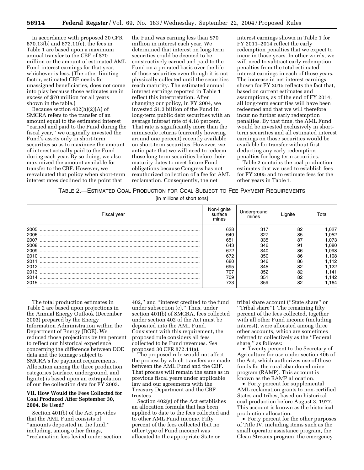In accordance with proposed 30 CFR 870.13(b) and 872.11(e), the fees in Table 1 are based upon a maximum annual transfer to the CBF of \$70 million or the amount of estimated AML Fund interest earnings for that year, whichever is less. (The other limiting factor, estimated CBF needs for unassigned beneficiaries, does not come into play because those estimates are in excess of \$70 million for all years shown in the table.)

Because section 402(h)(2)(A) of SMCRA refers to the transfer of an amount equal to the estimated interest ''earned and paid to the Fund during the fiscal year,'' we originally invested the Fund's assets only in short-term securities so as to maximize the amount of interest actually paid to the Fund during each year. By so doing, we also maximized the amount available for transfer to the CBF. However, we reevaluated that policy when short-term interest rates declined to the point that

the Fund was earning less than \$70 million in interest each year. We determined that interest on long-term securities could be deemed to be constructively earned and paid to the Fund on a prorated basis over the life of those securities even though it is not physically collected until the securities reach maturity. The estimated annual interest earnings reported in Table 1 reflect this interpretation. After changing our policy, in FY 2004, we invested \$1.3 billion of the Fund in long-term public debt securities with an average interest rate of 4.18 percent. That rate is significantly more than the minuscule returns (currently hovering around one percent) recently available on short-term securities. However, we anticipate that we will need to redeem those long-term securities before their maturity dates to meet future Fund obligations because Congress has not reauthorized collection of a fee for AML reclamation. Consequently, the net

interest earnings shown in Table 1 for FY 2011–2014 reflect the early redemption penalties that we expect to incur in those years. In other words, we will need to subtract early redemption penalties from the total estimated interest earnings in each of those years. The increase in net interest earnings shown for FY 2015 reflects the fact that, based on current estimates and assumptions, as of the end of FY 2014, all long-term securities will have been redeemed and that we will therefore incur no further early redemption penalties. By that time, the AML Fund would be invested exclusively in shortterm securities and all estimated interest earnings on those securities would be available for transfer without first deducting any early redemption penalties for long-term securities.

Table 2 contains the coal production estimates that we used to establish fees for FY 2005 and to estimate fees for the other years in Table 1.

## TABLE 2.—ESTIMATED COAL PRODUCTION FOR COAL SUBJECT TO FEE PAYMENT REQUIREMENTS

[In millions of short tons]

| Fiscal year | Non-lignite<br>surface<br>mines | Underground<br>mines |    | ⊺otal |
|-------------|---------------------------------|----------------------|----|-------|
| 2005        | 628                             | 317                  | 82 | ,027  |
| 2006        | 640                             | 327                  | 85 | .052  |
| 2007        | 651                             | 335                  | 87 | ,073  |
| 2008        | 643                             | 346                  | 91 | .080  |
| 2009        | 672                             | 340                  | 86 | .098  |
| 2010        | 672                             | 350                  | 86 | .108  |
| 2011        | 680                             | 346                  | 86 | .112  |
| 2012        | 695                             | 345                  | 82 | .122  |
| 2013        | 707                             | 352                  | 82 | .141  |
| 2014        | 709                             | 351                  | 82 | .142  |
| 2015        | 723                             | 359                  | 82 | .164  |

The total production estimates in Table 2 are based upon projections in the Annual Energy Outlook (December 2003) prepared by the Energy Information Administration within the Department of Energy (DOE). We reduced those projections by ten percent to reflect our historical experience concerning the difference between DOE data and the tonnage subject to SMCRA's fee payment requirements. Allocation among the three production categories (surface, underground, and lignite) is based upon an extrapolation of our fee collection data for FY 2003.

## **VII. How Would the Fees Collected for Coal Produced After September 30, 2004, Be Used?**

Section 401(b) of the Act provides that the AML Fund consists of ''amounts deposited in the fund,'' including, among other things, ''reclamation fees levied under section

402,'' and ''interest credited to the fund under subsection (e).'' Thus, under section 401(b) of SMCRA, fees collected under section 402 of the Act must be deposited into the AML Fund. Consistent with this requirement, the proposed rule considers all fees collected to be Fund revenues. *See* proposed 30 CFR 872.11(a).

The proposed rule would not affect the process by which transfers are made between the AML Fund and the CBF. That process will remain the same as in previous fiscal years under applicable law and our agreements with the Treasury Department and the CBF trustees.

Section 402(g) of the Act establishes an allocation formula that has been applied to date to the fees collected and to other AML Fund income. Fifty percent of the fees collected (but no other type of Fund income) was allocated to the appropriate State or

tribal share account (''State share'' or ''Tribal share''). The remaining fifty percent of the fees collected, together with all other Fund income (including interest), were allocated among three other accounts, which are sometimes referred to collectively as the ''Federal share,'' as follows:

• Twenty percent to the Secretary of Agriculture for use under section 406 of the Act, which authorizes use of those funds for the rural abandoned mine program (RAMP). This account is known as the RAMP allocation.

• Forty percent for supplemental AML reclamation grants to non-certified States and tribes, based on historical coal production before August 3, 1977. This account is known as the historical production allocation.

• Forty percent for the other purposes of Title IV, including items such as the small operator assistance program, the Clean Streams program, the emergency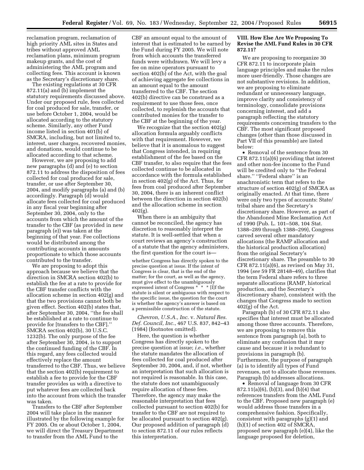reclamation program, reclamation of high priority AML sites in States and tribes without approved AML reclamation plans, minimum program makeup grants, and the cost of administering the AML program and collecting fees. This account is known as the Secretary's discretionary share.

The existing regulations at 30 CFR 872.11(a) and (b) implement the statutory requirements discussed above. Under our proposed rule, fees collected for coal produced for sale, transfer, or use before October 1, 2004, would be allocated according to the statutory scheme. Similarly, any other Fund income listed in section 401(b) of SMCRA, including, but not limited to, interest, user charges, recovered monies, and donations, would continue to be allocated according to that scheme.

However, we are proposing to add new paragraphs (d) and (e) to section 872.11 to address the disposition of fees collected for coal produced for sale, transfer, or use after September 30, 2004, and modify paragraphs (a) and (b) accordingly. Paragraph (d) would allocate fees collected for coal produced in any fiscal year beginning after September 30, 2004, only to the accounts from which the amount of the transfer to the CBF (as provided in new paragraph (e)) was taken at the beginning of that year. Fee collections would be distributed among the contributing accounts in amounts proportionate to which those accounts contributed to the transfer.

We are proposing to adopt this approach because we believe that the direction in SMCRA section 402(b) to establish the fee at a rate to provide for the CBF transfer conflicts with the allocation scheme in section 402(g) and that the two provisions cannot both be given effect. Section 402(b) states that, after September 30, 2004, ''the fee shall be established at a rate to continue to provide for [transfers to the CBF].'' SMCRA section 402(b), 30 U.S.C. 1232(b). The only purpose of the fee after September 30, 2004, is to support the continued funding of the CBF. In this regard, any fees collected would effectively replace the amount transferred to the CBF. Thus, we believe that the section 402(b) requirement to establish a fee to provide for the CBF transfer provides us with a directive to put whatever fees are collected back into the account from which the transfer was taken.

Transfers to the CBF after September 2004 will take place in the manner illustrated by the following example for FY 2005. On or about October 1, 2004, we will direct the Treasury Department to transfer from the AML Fund to the

CBF an amount equal to the amount of interest that is estimated to be earned by the Fund during FY 2005. We will note from which accounts the transferred funds were withdrawn. We will levy a fee on mine operators pursuant to section 402(b) of the Act, with the goal of achieving aggregate fee collections in an amount equal to the amount transferred to the CBF. The section 402(b) directive can be construed as a requirement to use those fees, once collected, to replenish the accounts that contributed monies for the transfer to the CBF at the beginning of the year.

We recognize that the section 402(g) allocation formula arguably conflicts with that requirement. However, we believe that it is anomalous to suggest that Congress intended, in requiring establishment of the fee based on the CBF transfer, to also require that the fees collected continue to be allocated in accordance with the formula established in section 402(g) of the Act. Thus, for fees from coal produced after September 30, 2004, there is an inherent conflict between the direction in section 402(b) and the allocation scheme in section 402(g).

When there is an ambiguity that cannot be reconciled, the agency has discretion to reasonably interpret the statute. It is well-settled that when a court reviews an agency's construction of a statute that the agency administers, the first question for the court is—

whether Congress has directly spoken to the precise question at issue. If the intent of Congress is clear, that is the end of the matter; for the court, as well as the agency, must give effect to the unambiguously expressed intent of Congress \* \* \* [I]f the statute is silent or ambiguous with respect to the specific issue, the question for the court is whether the agency's answer is based on a permissible construction of the statute.

*Chevron, U.S.A., Inc.* v. *Natural Res. Def. Council, Inc.*, 467 U.S. 837, 842–43 (1984) (footnotes omitted).

Here, the question is whether Congress has directly spoken to the precise question at issue; *i.e.*, whether the statute mandates the allocation of fees collected for coal produced after September 30, 2004, and, if not, whether an interpretation that such allocation is not required is reasonable. In this case, the statute does not unambiguously require allocation of these fees. Therefore, the agency may make the reasonable interpretation that fees collected pursuant to section 402(b) for transfer to the CBF are not required to be allocated pursuant to section 402(g). Our proposed addition of paragraph (d) to section 872.11 of our rules reflects this interpretation.

## **VIII. How Else Are We Proposing To Revise the AML Fund Rules in 30 CFR 872.11?**

We are proposing to reorganize 30 CFR 872.11 to incorporate plain language principles and make the rules more user-friendly. Those changes are not substantive revisions. In addition, we are proposing to eliminate redundant or unnecessary language, improve clarity and consistency of terminology, consolidate provisions concerning interest, and add a paragraph reflecting the statutory requirements concerning transfers to the CBF. The most significant proposed changes (other than those discussed in Part VII of this preamble) are listed below:

• Removal of the sentence from 30 CFR 872.11(a)(6) providing that interest and other non-fee income to the Fund will be credited only to ''the Federal share." "Federal share" is an anachronistic term that refers to the structure of section 402(g) of SMCRA as originally enacted. At that time, there were only two types of accounts: State/ tribal share and the Secretary's discretionary share. However, as part of the Abandoned Mine Reclamation Act of 1990 (Pub. L. 101–508, 104 Stat. 1388–289 through 1388–299), Congress carved several other mandatory allocations (the RAMP allocation and the historical production allocation) from the original Secretary's discretionary share. The preamble to 30 CFR 872.11(a)(6), as revised on May 31, 1994 (*see* 59 FR 28148–49), clarifies that the term Federal share refers to three separate allocations (RAMP, historical production, and the Secretary's discretionary share), consistent with the changes that Congress made to section  $402(g)$  of the Act.

Paragraph (b) of 30 CFR 872.11 also specifies that interest must be allocated among those three accounts. Therefore, we are proposing to remove this sentence from paragraph (a), both to eliminate any confusion that it may cause and because it is redundant to provisions in paragraph (b). Furthermore, the purpose of paragraph (a) is to identify all types of Fund revenues, not to allocate those revenues. Paragraph (b) addresses allocations.

• Removal of language from 30 CFR 872.11(a)(6), (b)(3), and (b)(4) that references transfers from the AML Fund to the CBF. Proposed new paragraph (e) would address those transfers in a comprehensive fashion. Specifically, consistent with paragraphs (g)(1) and (h)(1) of section 402 of SMCRA, proposed new paragraph (e)(4), like the language proposed for deletion,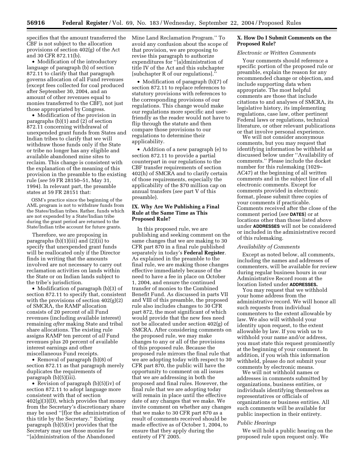specifies that the amount transferred the CBF is not subject to the allocation provisions of section 402(g) of the Act and 30 CFR 872.11(b).

• Modification of the introductory language of paragraph (b) of section 872.11 to clarify that that paragraph governs allocation of all Fund revenues (except fees collected for coal produced after September 30, 2004, and an amount of other revenues equal to monies transferred to the CBF), not just those appropriated by Congress.

• Modification of the provision in paragraphs (b)(1) and (2) of section 872.11 concerning withdrawal of unexpended grant funds from States and Indian tribes to clarify that we will withdraw those funds only if the State or tribe no longer has any eligible and available abandoned mine sites to reclaim. This change is consistent with the explanation of the meaning of this provision in the preamble to the existing rule (*see* 59 FR 28150–51, May 31, 1994). In relevant part, the preamble states at 59 FR 28151 that:

OSM's practice since the beginning of the AML program is not to withdraw funds from the States/Indian tribes. Rather, funds which are not expended by a State/Indian tribe during the grant period are returned to the State/Indian tribe account for future grants.

Therefore, we are proposing in paragraphs  $(b)(1)(iii)$  and  $(2)(ii)$  to specify that unexpended grant funds will be reallocated only if the Director finds in writing that the amounts involved are not necessary to carry out reclamation activities on lands within the State or on Indian lands subject to the tribe's jurisdiction.

• Modification of paragraph (b)(3) of section 872.11 to specify that, consistent with the provisions of section 402(g)(2) of SMCRA, the RAMP allocation consists of 20 percent of all Fund revenues (including available interest) remaining *after* making State and tribal share allocations. The existing rule assigns RAMP ten percent of *all* Fund revenues plus 20 percent of available interest earnings and other miscellaneous Fund receipts.

• Removal of paragraph (b)(8) of section 872.11 as that paragraph merely duplicates the requirements of paragraph (b)(5)(iii).

• Revision of paragraph (b)(5)(iv) of section 872.11 to adopt language more consistent with that of section  $402(g)(3)(D)$ , which provides that money from the Secretary's discretionary share may be used ''[f]or the administration of this title by the Secretary.'' Existing paragraph (b)(5)(iv) provides that the Secretary may use those monies for ''[a]dministration of the Abandoned

Mine Land Reclamation Program.'' To avoid any confusion about the scope of that provision, we are proposing to revise this paragraph to authorize expenditures for ''[a]dministration of title IV of the Act and this subchapter [subchapter R of our regulations].''

• Modification of paragraph (b)(7) of section 872.11 to replace references to statutory provisions with references to the corresponding provisions of our regulations. This change would make our regulations more specific and userfriendly as the reader would not have to flip through the statute and then compare those provisions to our regulations to determine their applicability.

• Addition of a new paragraph (e) to section 872.11 to provide a partial counterpart in our regulations to the CBF transfer requirements of section 402(h) of SMCRA and to clarify certain of those requirements, especially the applicability of the \$70 million cap on annual transfers (*see* part V of this preamble).

## **IX. Why Are We Publishing a Final Rule at the Same Time as This Proposed Rule?**

In this proposed rule, we are publishing and seeking comment on the same changes that we are making to 30 CFR part 870 in a final rule published separately in today's **Federal Register**. As explained in the preamble to the final rule, we are making those changes effective immediately because of the need to have a fee in place on October 1, 2004, and ensure the continued transfer of monies to the Combined Benefit Fund. As discussed in parts VII and VIII of this preamble, the proposed rule also includes changes to 30 CFR part 872, the most significant of which would provide that the new fees need not be allocated under section 402(g) of SMCRA. After considering comments on the proposed rule, we may make changes to any or all of the provisions of this proposed rule. Because the proposed rule mirrors the final rule that we are adopting today with respect to 30 CFR part 870, the public will have the opportunity to comment on all issues that we are addressing in both the proposed and final rules. However, the final rule that we are adopting today will remain in place until the effective date of any changes that we make. We invite comment on whether any changes that we make to 30 CFR part 870 as a result of comments received should be made effective as of October 1, 2004, to ensure that they apply during the entirety of FY 2005.

## **X. How Do I Submit Comments on the Proposed Rule?**

## *Electronic or Written Comments*

Your comments should reference a specific portion of the proposed rule or preamble, explain the reason for any recommended change or objection, and include supporting data when appropriate. The most helpful comments are those that include citations to and analyses of SMCRA, its legislative history, its implementing regulations, case law, other pertinent Federal laws or regulations, technical literature, or other relevant publications or that involve personal experience.

We will not consider anonymous comments, but you may request that identifying information be withheld as discussed below under ''Availability of comments.'' Please include the docket number for this rulemaking (1029– AC47) at the beginning of all written comments and in the subject line of all electronic comments. Except for comments provided in electronic format, please submit three copies of your comments if practicable. Comments received after the close of the comment period (*see* **DATES**) or at locations other than those listed above under **ADDRESSES** will not be considered or included in the administrative record of this rulemaking.

#### *Availability of Comments*

Except as noted below, all comments, including the names and addresses of commenters, will be available for review during regular business hours in our Administrative Record room at the location listed under **ADDRESSES.**

You may request that we withhold your home address from the administrative record. We will honor all such requests from individual commenters to the extent allowable by law. We also will withhold your identity upon request, to the extent allowable by law. If you wish us to withhold your name and/or address, you must state this request prominently at the beginning of your comment. In addition, if you wish this information withheld, please do not submit your comments by electronic means.

We will not withhold names or addresses in comments submitted by organizations, business entities, or individuals identifying themselves as representatives or officials of organizations or business entities. All such comments will be available for public inspection in their entirety.

#### *Public Hearings*

We will hold a public hearing on the proposed rule upon request only. We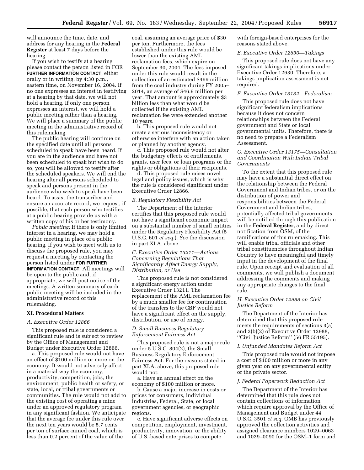will announce the time, date, and address for any hearing in the **Federal Register** at least 7 days before the hearing.

If you wish to testify at a hearing please contact the person listed in FOR **FURTHER INFORMATION CONTACT**, either orally or in writing, by 4:30 p.m., eastern time, on November 16, 2004. If no one expresses an interest in testifying at a hearing by that date, we will not hold a hearing. If only one person expresses an interest, we will hold a public meeting rather than a hearing. We will place a summary of the public meeting in the administrative record of this rulemaking.

The public hearing will continue on the specified date until all persons scheduled to speak have been heard. If you are in the audience and have not been scheduled to speak but wish to do so, you will be allowed to testify after the scheduled speakers. We will end the hearing after all persons scheduled to speak and persons present in the audience who wish to speak have been heard. To assist the transcriber and ensure an accurate record, we request, if possible, that each person who testifies at a public hearing provide us with a written copy of his or her testimony.

*Public meeting:* If there is only limited interest in a hearing, we may hold a public meeting in place of a public hearing. If you wish to meet with us to discuss the proposed rule, you may request a meeting by contacting the person listed under **FOR FURTHER INFORMATION CONTACT**. All meetings will be open to the public and, if appropriate, we will post notice of the meetings. A written summary of each public meeting will be included in the administrative record of this rulemaking.

#### **XI. Procedural Matters**

#### *A. Executive Order 12866*

This proposed rule is considered a significant rule and is subject to review by the Office of Management and Budget under Executive Order 12866.

a. This proposed rule would not have an effect of \$100 million or more on the economy. It would not adversely affect in a material way the economy, productivity, competition, jobs, the environment, public health or safety, or state, local, or tribal governments or communities. The rule would not add to the existing cost of operating a mine under an approved regulatory program in any significant fashion. We anticipate that the average fee under this rule over the next ten years would be 5.7 cents per ton of surface-mined coal, which is less than 0.2 percent of the value of the

coal, assuming an average price of \$30 per ton. Furthermore, the fees established under this rule would be lower than the existing AML reclamation fees, which expire on September 30, 2004. The fees imposed under this rule would result in the collection of an estimated \$469 million from the coal industry during FY 2005– 2014, an average of \$46.9 million per year. That amount is approximately \$3 billion less than what would be collected if the existing AML reclamation fee were extended another 10 years.

b. This proposed rule would not create a serious inconsistency or otherwise interfere with an action taken or planned by another agency.

c. This proposed rule would not alter the budgetary effects of entitlements, grants, user fees, or loan programs or the rights or obligations of their recipients.

d. This proposed rule raises novel legal and policy issues, which is why the rule is considered significant under Executive Order 12866.

#### *B. Regulatory Flexibility Act*

The Department of the Interior certifies that this proposed rule would not have a significant economic impact on a substantial number of small entities under the Regulatory Flexibility Act (5 U.S.C. 601 *et seq.*). *See* the discussion in part XI.A. above.

## *C. Executive Order 13211—Actions Concerning Regulations That Significantly Affect Energy Supply, Distribution, or Use*

This proposed rule is not considered a significant energy action under Executive Order 13211. The replacement of the AML reclamation fee by a much smaller fee for continuation of the transfers to the CBF would not have a significant effect on the supply, distribution, or use of energy.

## *D. Small Business Regulatory Enforcement Fairness Act*

This proposed rule is not a major rule under 5 U.S.C. 804(2), the Small Business Regulatory Enforcement Fairness Act. For the reasons stated in part XI.A. above, this proposed rule would not:

a. Have an annual effect on the economy of \$100 million or more.

b. Cause a major increase in costs or prices for consumers, individual industries, Federal, State, or local government agencies, or geographic regions.

c. Have significant adverse effects on competition, employment, investment, productivity, innovation, or the ability of U.S.-based enterprises to compete

with foreign-based enterprises for the reasons stated above.

#### *E. Executive Order 12630—Takings*

This proposed rule does not have any significant takings implications under Executive Order 12630. Therefore, a takings implication assessment is not required.

## *F. Executive Order 13132—Federalism*

This proposed rule does not have significant federalism implications because it does not concern relationships between the Federal government and State or local governmental units. Therefore, there is no need to prepare a Federalism Assessment.

## *G. Executive Order 13175—Consultation and Coordination With Indian Tribal Governments*

To the extent that this proposed rule may have a substantial direct effect on the relationship between the Federal Government and Indian tribes, or on the distribution of power and responsibilities between the Federal Government and Indian tribes, potentially affected tribal governments will be notified through this publication in the **Federal Register**, and by direct notification from OSM, of the ramifications of this rulemaking. This will enable tribal officials and other tribal constituencies throughout Indian Country to have meaningful and timely input in the development of the final rule. Upon receipt and evaluation of all comments, we will publish a document addressing the comments and making any appropriate changes to the final rule.

## *H. Executive Order 12988 on Civil Justice Reform*

The Department of the Interior has determined that this proposed rule meets the requirements of sections 3(a) and 3(b)(2) of Executive Order 12988, ''Civil Justice Reform'' (56 FR 55195).

#### *I. Unfunded Mandates Reform Act*

This proposed rule would not impose a cost of \$100 million or more in any given year on any governmental entity or the private sector.

## *J. Federal Paperwork Reduction Act*

The Department of the Interior has determined that this rule does not contain collections of information which require approval by the Office of Management and Budget under 44 U.S.C. 3501 *et seq.* OMB has previously approved the collection activities and assigned clearance numbers 1029–0063 and 1029–0090 for the OSM–1 form and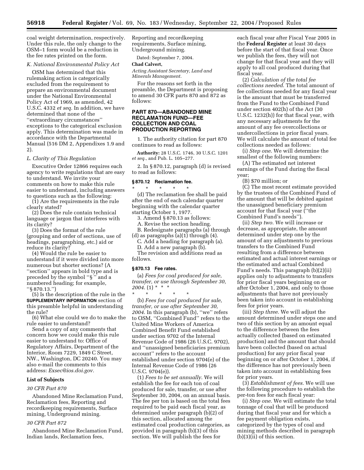coal weight determination, respectively. Under this rule, the only change to the OSM–1 form would be a reduction in the fee rates printed on the form.

## *K. National Environmental Policy Act*

OSM has determined that this rulemaking action is categorically excluded from the requirement to prepare an environmental document under the National Environmental Policy Act of 1969, as amended, 42 U.S.C. 4332 *et seq.* In addition, we have determined that none of the ''extraordinary circumstances'' exceptions to the categorical exclusion apply. This determination was made in accordance with the Departmental Manual (516 DM 2, Appendixes 1.9 and 2).

#### *L. Clarity of This Regulation*

Executive Order 12866 requires each agency to write regulations that are easy to understand. We invite your comments on how to make this rule easier to understand, including answers to questions such as the following:

(1) Are the requirements in the rule clearly stated?

(2) Does the rule contain technical language or jargon that interferes with its clarity?

(3) Does the format of the rule (grouping and order of sections, use of headings, paragraphing, etc.) aid or reduce its clarity?

(4) Would the rule be easier to understand if it were divided into more numerous but shorter sections? (A ''section'' appears in bold type and is preceded by the symbol ''§ '' and a numbered heading; for example, ''§ 870.13.'')

(5) Is the description of the rule in the **SUPPLEMENTARY INFORMATION** section of this preamble helpful in understanding the rule?

(6) What else could we do to make the rule easier to understand?

Send a copy of any comments that concern how we could make this rule easier to understand to: Office of Regulatory Affairs, Department of the Interior, Room 7229, 1849 C Street, NW., Washington, DC 20240. You may also e-mail the comments to this address: *Exsec@ios.doi.gov.*

#### **List of Subjects**

## *30 CFR Part 870*

Abandoned Mine Reclamation Fund, Reclamation fees, Reporting and recordkeeping requirements, Surface mining, Underground mining.

## *30 CFR Part 872*

Abandoned Mine Reclamation Fund, Indian lands, Reclamation fees,

Reporting and recordkeeping requirements, Surface mining, Underground mining.

Dated: September 7, 2004.

## **Chad Calvert,**

*Acting Assistant Secretary, Land and Minerals Management.*

For the reasons set forth in the preamble, the Department is proposing to amend 30 CFR parts 870 and 872 as follows:

## **PART 870—ABANDONED MINE RECLAMATION FUND—FEE COLLECTION AND COAL PRODUCTION REPORTING**

1. The authority citation for part 870 continues to read as follows:

**Authority:** 28 U.S.C. 1746, 30 U.S.C. 1201 *et seq.*, and Pub. L. 105–277.

2. In § 870.12, paragraph (d) is revised to read as follows:

#### **§ 870.12 Reclamation fee.**

\* \* \* \* \* (d) The reclamation fee shall be paid after the end of each calendar quarter beginning with the calendar quarter starting October 1, 1977.

3. Amend § 870.13 as follows:

A. Revise the section heading.

B. Redesignate paragraphs (a) through (d) as paragraphs (a)(1) through (4).

C. Add a heading for paragraph (a). D. Add a new paragraph (b).

The revision and additions read as

follows.

#### **§ 870.13 Fee rates.**

(a) *Fees for coal produced for sale, transfer, or use through September 30, 2004*. (1) \* \* \*

\* \* \* \* \* (b) *Fees for coal produced for sale, transfer, or use after September 30, 2004*. In this paragraph (b), ''we'' refers to OSM, ''Combined Fund'' refers to the United Mine Workers of America Combined Benefit Fund established under section 9702 of the Internal Revenue Code of 1986 (26 U.S.C. 9702), and ''unassigned beneficiaries premium account'' refers to the account established under section 9704(e) of the Internal Revenue Code of 1986 (26 U.S.C. 9704(e)).

(1) *Fees to be set annually*. We will establish the fee for each ton of coal produced for sale, transfer, or use after September 30, 2004, on an annual basis. The fee per ton is based on the total fees required to be paid each fiscal year, as determined under paragraph (b)(2) of this section, allocated among the estimated coal production categories, as provided in paragraph (b)(3) of this section. We will publish the fees for

each fiscal year after Fiscal Year 2005 in the **Federal Register** at least 30 days before the start of that fiscal year. Once we publish the fees, they will not change for that fiscal year and they will apply to all coal produced during that fiscal year.

(2) *Calculation of the total fee collections needed*. The total amount of fee collections needed for any fiscal year is the amount that must be transferred from the Fund to the Combined Fund under section 402(h) of the Act (30 U.S.C. 1232(h)) for that fiscal year, with any necessary adjustments for the amount of any fee overcollections or undercollections in prior fiscal years. We will calculate the amount of total fee collections needed as follows:

(i) *Step one*. We will determine the smallest of the following numbers:

(A) The estimated net interest earnings of the Fund during the fiscal year;

(B) \$70 million; or

(C) The most recent estimate provided by the trustees of the Combined Fund of the amount that will be debited against the unassigned beneficiary premium account for that fiscal year (''the Combined Fund's needs'').

(ii) *Step two.* We will increase or decrease, as appropriate, the amount determined under step one by the amount of any adjustments to previous transfers to the Combined Fund resulting from a difference between estimated and actual interest earnings or the estimated and actual Combined Fund's needs. This paragraph (b)(2)(ii) applies only to adjustments to transfers for prior fiscal years beginning on or after October 1, 2004, and only to those adjustments that have not previously been taken into account in establishing fees for prior years.

(iii) *Step three.* We will adjust the amount determined under steps one and two of this section by an amount equal to the difference between the fees actually collected (based on estimated production) and the amount that should have been collected (based on actual production) for any prior fiscal year beginning on or after October 1, 2004, if the difference has not previously been taken into account in establishing fees for prior years.

(3) *Establishment of fees.* We will use the following procedure to establish the per-ton fees for each fiscal year:

(i) *Step one.* We will estimate the total tonnage of coal that will be produced during that fiscal year and for which a fee payment obligation exists, categorized by the types of coal and mining methods described in paragraph (b)(3)(ii) of this section.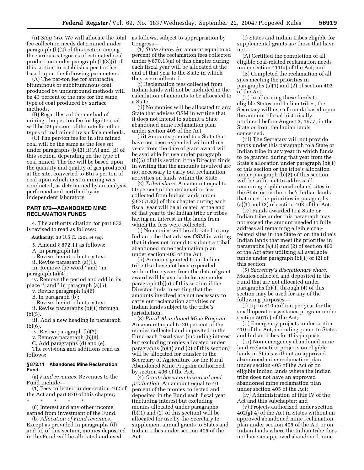fee collection needs determined under paragraph (b)(2) of this section among the various categories of estimated coal production under paragraph (b)(3)(i) of this section to establish a per-ton fee based upon the following parameters:

(A) The per-ton fee for anthracite, bituminous or subbituminous coal produced by underground methods will be 43 percent of the rate for the same type of coal produced by surface methods.

(B) Regardless of the method of mining, the per-ton fee for lignite coal will be 29 percent of the rate for other types of coal mined by surface methods.

(C) The per-ton fee for in situ mined coal will be the same as the fees set under paragraphs  $(b)(3)(ii)(A)$  and  $(B)$  of this section, depending on the type of coal mined. The fee will be based upon the quantity and quality of gas produced at the site, converted to Btu's per ton of coal upon which in situ mining was conducted, as determined by an analysis performed and certified by an independent laboratory.

## **PART 872—ABANDONED MINE RECLAMATION FUNDS**

4. The authority citation for part 872 is revised to read as follows:

**Authority:** 30 U.S.C. 1201 *et seq.*

5. Amend § 872.11 as follows:

A. In paragraph (a):

- i. Revise the introductory text.
- ii. Revise paragraph (a)(1).
- iii. Remove the word ''and'' in

paragraph (a)(4).

iv. Remove the period and add in its place ''; and'' in paragraph (a)(5).

v. Revise paragraph (a)(6).

B. In paragraph (b):

i. Revise the introductory text.

ii. Revise paragraphs (b)(1) through  $(b)(5)$ .

iii. Add a new heading in paragraph (b)(6).

iv. Revise paragraph (b)(7).

v. Remove paragraph (b)(8).

C. Add paragraphs (d) and (e).

The revisions and additions read as follows:

#### **§ 872.11 Abandoned Mine Reclamation Fund.**

(a) *Fund revenues.* Revenues to the Fund include—

(1) Fees collected under section 402 of the Act and part 870 of this chapter;

\* \* \* \* \* (6) Interest and any other income

earned from investment of the Fund. (b) *Allocation of Fund revenues.*

Except as provided in paragraphs (d) and (e) of this section, monies deposited in the Fund will be allocated and used

(ii) *Step two.* We will allocate the total as follows, subject to appropriation by Congress—

> (1) *State share.* An amount equal to 50 percent of the reclamation fees collected under § 870.13(a) of this chapter during each fiscal year will be allocated at the end of that year to the State in which they were collected.

> (i) Reclamation fees collected from Indian lands will not be included in the calculation of amounts to be allocated to a State.

> (ii) No monies will be allocated to any State that advises OSM in writing that it does not intend to submit a State abandoned mine reclamation plan under section 405 of the Act.

> (iii) Amounts granted to a State that have not been expended within three years from the date of grant award will be available for use under paragraph (b)(5) of this section if the Director finds in writing that the amounts involved are not necessary to carry out reclamation activities on lands within the State.

(2) *Tribal share.* An amount equal to 50 percent of the reclamation fees collected from Indian lands under § 870.13(a) of this chapter during each fiscal year will be allocated at the end of that year to the Indian tribe or tribes having an interest in the lands from which the fees were collected.

(i) No monies will be allocated to any Indian tribe that advises OSM in writing that it does not intend to submit a tribal abandoned mine reclamation plan under section 405 of the Act.

(ii) Amounts granted to an Indian tribe that have not been expended within three years from the date of grant award will be available for use under paragraph (b)(5) of this section if the Director finds in writing that the amounts involved are not necessary to carry out reclamation activities on Indian lands subject to the tribe's jurisdiction.

(3) *Rural Abandoned Mine Program.* An amount equal to 20 percent of the monies collected and deposited in the Fund each fiscal year (including interest but excluding monies allocated under paragraphs (b)(1) and (2) of this section) will be allocated for transfer to the Secretary of Agriculture for the Rural Abandoned Mine Program authorized by section 406 of the Act.

(4) *Grants based on historical coal production.* An amount equal to 40 percent of the monies collected and deposited in the Fund each fiscal year (including interest but excluding monies allocated under paragraphs (b)(1) and (2) of this section) will be allocated for use by the Secretary to supplement annual grants to States and Indian tribes under section 405 of the Act.

(i) States and Indian tribes eligible for supplemental grants are those that have not—

(A) Certified the completion of all eligible coal-related reclamation needs under section 411(a) of the Act; and

(B) Completed the reclamation of all sites meeting the priorities in paragraphs (a)(1) and (2) of section 403 of the Act.

(ii) In allocating these funds to eligible States and Indian tribes, the Secretary will use a formula based upon the amount of coal historically produced before August 3, 1977, in the State or from the Indian lands concerned.

(iii) The Secretary will not provide funds under this paragraph to a State or Indian tribe in any year in which funds to be granted during that year from the State's allocation under paragraph (b)(1) of this section or the tribe's allocation under paragraph (b)(2) of this section will be sufficient to address all remaining eligible coal-related sites in the State or on the tribe's Indian lands that meet the priorities in paragraphs  $(a)(1)$  and  $(2)$  of section 403 of the Act.

(iv) Funds awarded to a State or Indian tribe under this paragraph may not exceed the amount needed to fully address all remaining eligible coalrelated sites in the State or on the tribe's Indian lands that meet the priorities in paragraphs (a)(1) and (2) of section 403 of the Act after utilizing all available funds under paragraph (b)(1) or (2) of this section.

(5) *Secretary's discretionary share.* Monies collected and deposited in the Fund that are not allocated under paragraphs (b)(1) through (4) of this section may be used for any of the following purposes—

(i) Up to \$10 million per year for the small operator assistance program under section 507(c) of the Act;

(ii) Emergency projects under section 410 of the Act, including grants to States and Indian tribes for this purpose;

(iii) Non-emergency abandoned mine land reclamation projects on eligible lands in States without an approved abandoned mine reclamation plan under section 405 of the Act or on eligible Indian lands where the Indian tribe does not have an approved abandoned mine reclamation plan under section 405 of the Act;

(iv) Administration of title IV of the Act and this subchapter; and

(v) Projects authorized under section 402(g)(4) of the Act in States without an approved abandoned mine reclamation plan under section 405 of the Act or on Indian lands where the Indian tribe does not have an approved abandoned mine